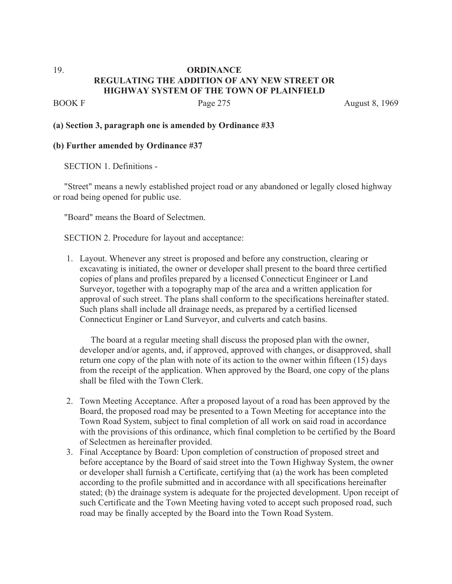## 19. **ORDINANCE REGULATING THE ADDITION OF ANY NEW STREET OR HIGHWAY SYSTEM OF THE TOWN OF PLAINFIELD**

BOOK F Page 275 August 8, 1969

## **(a) Section 3, paragraph one is amended by Ordinance #33**

## **(b) Further amended by Ordinance #37**

SECTION 1. Definitions -

 "Street" means a newly established project road or any abandoned or legally closed highway or road being opened for public use.

"Board" means the Board of Selectmen.

SECTION 2. Procedure for layout and acceptance:

1. Layout. Whenever any street is proposed and before any construction, clearing or excavating is initiated, the owner or developer shall present to the board three certified copies of plans and profiles prepared by a licensed Connecticut Engineer or Land Surveyor, together with a topography map of the area and a written application for approval of such street. The plans shall conform to the specifications hereinafter stated. Such plans shall include all drainage needs, as prepared by a certified licensed Connecticut Enginer or Land Surveyor, and culverts and catch basins.

 The board at a regular meeting shall discuss the proposed plan with the owner, developer and/or agents, and, if approved, approved with changes, or disapproved, shall return one copy of the plan with note of its action to the owner within fifteen (15) days from the receipt of the application. When approved by the Board, one copy of the plans shall be filed with the Town Clerk.

- 2. Town Meeting Acceptance. After a proposed layout of a road has been approved by the Board, the proposed road may be presented to a Town Meeting for acceptance into the Town Road System, subject to final completion of all work on said road in accordance with the provisions of this ordinance, which final completion to be certified by the Board of Selectmen as hereinafter provided.
- 3. Final Acceptance by Board: Upon completion of construction of proposed street and before acceptance by the Board of said street into the Town Highway System, the owner or developer shall furnish a Certificate, certifying that (a) the work has been completed according to the profile submitted and in accordance with all specifications hereinafter stated; (b) the drainage system is adequate for the projected development. Upon receipt of such Certificate and the Town Meeting having voted to accept such proposed road, such road may be finally accepted by the Board into the Town Road System.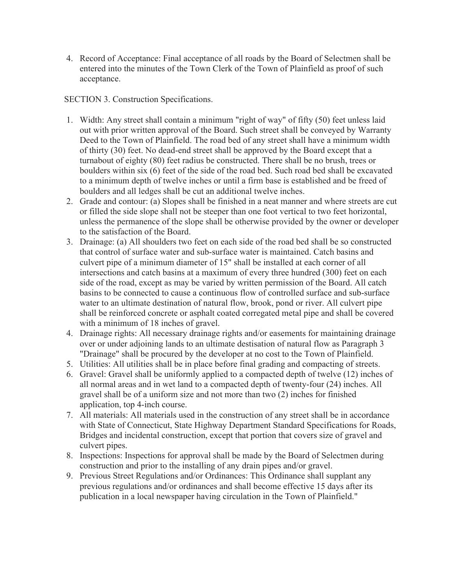4. Record of Acceptance: Final acceptance of all roads by the Board of Selectmen shall be entered into the minutes of the Town Clerk of the Town of Plainfield as proof of such acceptance.

## SECTION 3. Construction Specifications.

- 1. Width: Any street shall contain a minimum "right of way" of fifty (50) feet unless laid out with prior written approval of the Board. Such street shall be conveyed by Warranty Deed to the Town of Plainfield. The road bed of any street shall have a minimum width of thirty (30) feet. No dead-end street shall be approved by the Board except that a turnabout of eighty (80) feet radius be constructed. There shall be no brush, trees or boulders within six (6) feet of the side of the road bed. Such road bed shall be excavated to a minimum depth of twelve inches or until a firm base is established and be freed of boulders and all ledges shall be cut an additional twelve inches.
- 2. Grade and contour: (a) Slopes shall be finished in a neat manner and where streets are cut or filled the side slope shall not be steeper than one foot vertical to two feet horizontal, unless the permanence of the slope shall be otherwise provided by the owner or developer to the satisfaction of the Board.
- 3. Drainage: (a) All shoulders two feet on each side of the road bed shall be so constructed that control of surface water and sub-surface water is maintained. Catch basins and culvert pipe of a minimum diameter of 15" shall be installed at each corner of all intersections and catch basins at a maximum of every three hundred (300) feet on each side of the road, except as may be varied by written permission of the Board. All catch basins to be connected to cause a continuous flow of controlled surface and sub-surface water to an ultimate destination of natural flow, brook, pond or river. All culvert pipe shall be reinforced concrete or asphalt coated corregated metal pipe and shall be covered with a minimum of 18 inches of gravel.
- 4. Drainage rights: All necessary drainage rights and/or easements for maintaining drainage over or under adjoining lands to an ultimate destisation of natural flow as Paragraph 3 "Drainage" shall be procured by the developer at no cost to the Town of Plainfield.
- 5. Utilities: All utilities shall be in place before final grading and compacting of streets.
- 6. Gravel: Gravel shall be uniformly applied to a compacted depth of twelve (12) inches of all normal areas and in wet land to a compacted depth of twenty-four (24) inches. All gravel shall be of a uniform size and not more than two (2) inches for finished application, top 4-inch course.
- 7. All materials: All materials used in the construction of any street shall be in accordance with State of Connecticut, State Highway Department Standard Specifications for Roads, Bridges and incidental construction, except that portion that covers size of gravel and culvert pipes.
- 8. Inspections: Inspections for approval shall be made by the Board of Selectmen during construction and prior to the installing of any drain pipes and/or gravel.
- 9. Previous Street Regulations and/or Ordinances: This Ordinance shall supplant any previous regulations and/or ordinances and shall become effective 15 days after its publication in a local newspaper having circulation in the Town of Plainfield."